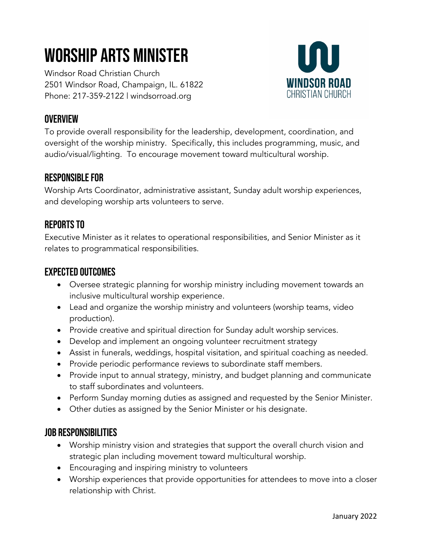# Worship Arts Minister

Windsor Road Christian Church 2501 Windsor Road, Champaign, IL. 61822 Phone: 217-359-2122 | windsorroad.org



### **OVERVIEW**

To provide overall responsibility for the leadership, development, coordination, and oversight of the worship ministry. Specifically, this includes programming, music, and audio/visual/lighting. To encourage movement toward multicultural worship.

#### Responsible For

Worship Arts Coordinator, administrative assistant, Sunday adult worship experiences, and developing worship arts volunteers to serve.

# Reports To

Executive Minister as it relates to operational responsibilities, and Senior Minister as it relates to programmatical responsibilities.

#### Expected Outcomes

- Oversee strategic planning for worship ministry including movement towards an inclusive multicultural worship experience.
- Lead and organize the worship ministry and volunteers (worship teams, video production).
- Provide creative and spiritual direction for Sunday adult worship services.
- Develop and implement an ongoing volunteer recruitment strategy
- Assist in funerals, weddings, hospital visitation, and spiritual coaching as needed.
- Provide periodic performance reviews to subordinate staff members.
- Provide input to annual strategy, ministry, and budget planning and communicate to staff subordinates and volunteers.
- Perform Sunday morning duties as assigned and requested by the Senior Minister.
- Other duties as assigned by the Senior Minister or his designate.

#### Job Responsibilities

- Worship ministry vision and strategies that support the overall church vision and strategic plan including movement toward multicultural worship.
- Encouraging and inspiring ministry to volunteers
- Worship experiences that provide opportunities for attendees to move into a closer relationship with Christ.